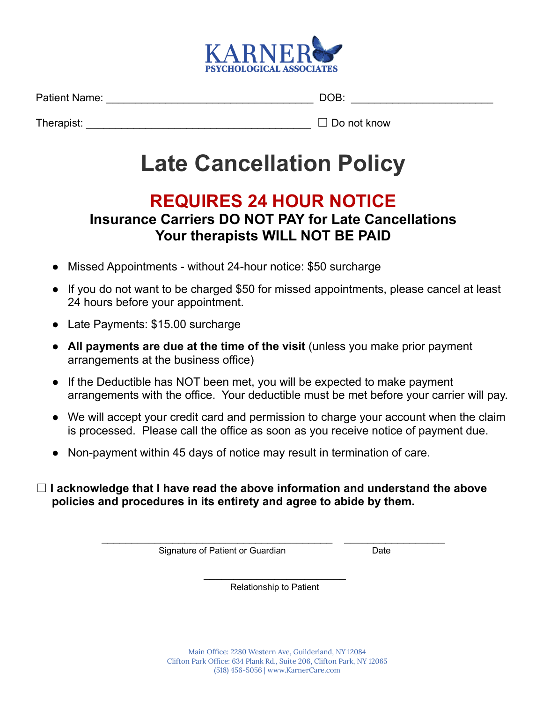

Patient Name: \_\_\_\_\_\_\_\_\_\_\_\_\_\_\_\_\_\_\_\_\_\_\_\_\_\_\_\_\_\_\_\_\_\_\_ DOB: \_\_\_\_\_\_\_\_\_\_\_\_\_\_\_\_\_\_\_\_\_\_\_\_

Therapist: \_\_\_\_\_\_\_\_\_\_\_\_\_\_\_\_\_\_\_\_\_\_\_\_\_\_\_\_\_\_\_\_\_\_\_\_\_\_ ☐ Do not know

# **Late Cancellation Policy**

## **REQUIRES 24 HOUR NOTICE**

## **Insurance Carriers DO NOT PAY for Late Cancellations Your therapists WILL NOT BE PAID**

- Missed Appointments without 24-hour notice: \$50 surcharge
- If you do not want to be charged \$50 for missed appointments, please cancel at least 24 hours before your appointment.
- Late Payments: \$15.00 surcharge
- **All payments are due at the time of the visit** (unless you make prior payment arrangements at the business office)
- If the Deductible has NOT been met, you will be expected to make payment arrangements with the office. Your deductible must be met before your carrier will pay.
- We will accept your credit card and permission to charge your account when the claim is processed. Please call the office as soon as you receive notice of payment due.
- Non-payment within 45 days of notice may result in termination of care.
- ☐ **I acknowledge that I have read the above information and understand the above policies and procedures in its entirety and agree to abide by them.**

Signature of Patient or Guardian Date

 $\frac{1}{2}$  , and the set of the set of the set of the set of the set of the set of the set of the set of the set of the set of the set of the set of the set of the set of the set of the set of the set of the set of the set Relationship to Patient

\_\_\_\_\_\_\_\_\_\_\_\_\_\_\_\_\_\_\_\_\_\_\_\_\_\_\_\_\_\_\_\_\_\_\_\_\_\_\_ \_\_\_\_\_\_\_\_\_\_\_\_\_\_\_\_\_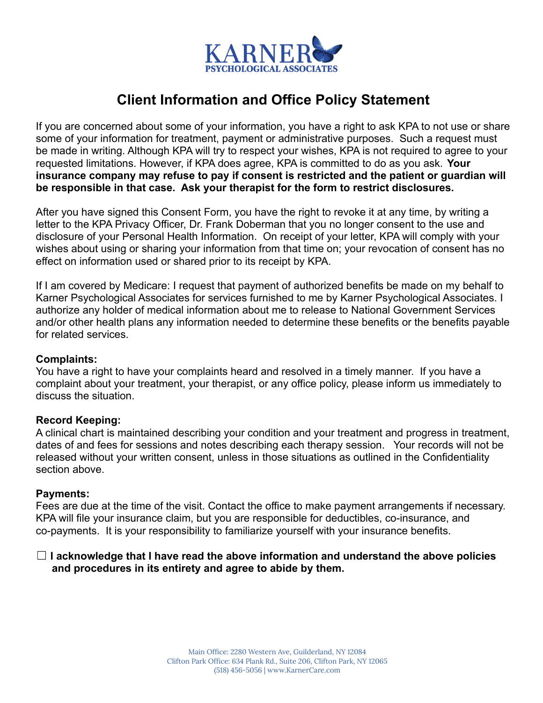

## **Client Information and Office Policy Statement**

If you are concerned about some of your information, you have a right to ask KPA to not use or share some of your information for treatment, payment or administrative purposes. Such a request must be made in writing. Although KPA will try to respect your wishes, KPA is not required to agree to your requested limitations. However, if KPA does agree, KPA is committed to do as you ask. **Your insurance company may refuse to pay if consent is restricted and the patient or guardian will be responsible in that case. Ask your therapist for the form to restrict disclosures.**

After you have signed this Consent Form, you have the right to revoke it at any time, by writing a letter to the KPA Privacy Officer, Dr. Frank Doberman that you no longer consent to the use and disclosure of your Personal Health Information. On receipt of your letter, KPA will comply with your wishes about using or sharing your information from that time on; your revocation of consent has no effect on information used or shared prior to its receipt by KPA.

If I am covered by Medicare: I request that payment of authorized benefits be made on my behalf to Karner Psychological Associates for services furnished to me by Karner Psychological Associates. I authorize any holder of medical information about me to release to National Government Services and/or other health plans any information needed to determine these benefits or the benefits payable for related services.

#### **Complaints:**

You have a right to have your complaints heard and resolved in a timely manner. If you have a complaint about your treatment, your therapist, or any office policy, please inform us immediately to discuss the situation.

#### **Record Keeping:**

A clinical chart is maintained describing your condition and your treatment and progress in treatment, dates of and fees for sessions and notes describing each therapy session. Your records will not be released without your written consent, unless in those situations as outlined in the Confidentiality section above.

#### **Payments:**

Fees are due at the time of the visit. Contact the office to make payment arrangements if necessary. KPA will file your insurance claim, but you are responsible for deductibles, co-insurance, and co-payments. It is your responsibility to familiarize yourself with your insurance benefits.

#### ☐ **I acknowledge that I have read the above information and understand the above policies and procedures in its entirety and agree to abide by them.**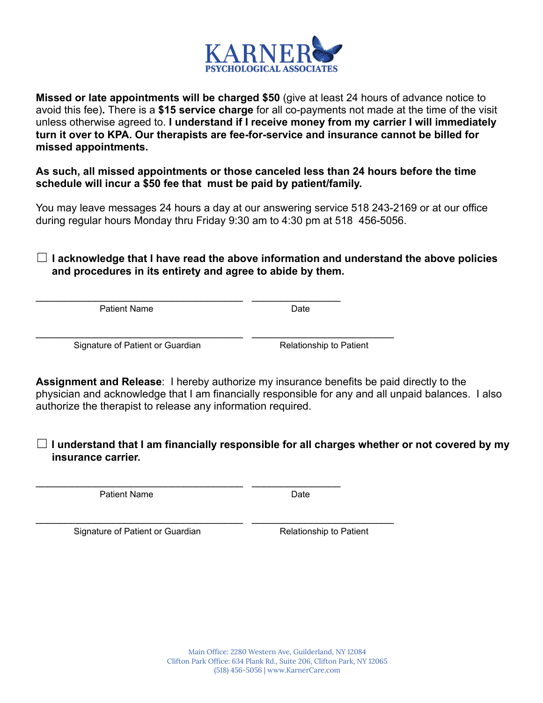

**Missed or late appointments will be charged \$50** (give at least 24 hours of advance notice to avoid this fee)**.** There is a **\$15 service charge** for all co-payments not made at the time of the visit unless otherwise agreed to. **I understand if I receive money from my carrier I will immediately turn it over to KPA. Our therapists are fee-for-service and insurance cannot be billed for missed appointments.**

**As such, all missed appointments or those canceled less than 24 hours before the time schedule will incur a \$50 fee that must be paid by patient/family.**

You may leave messages 24 hours a day at our answering service 518 243-2169 or at our office during regular hours Monday thru Friday 9:30 am to 4:30 pm at 518 456-5056.

☐ **I acknowledge that I have read the above information and understand the above policies and procedures in its entirety and agree to abide by them.**

Patient Name Date

Signature of Patient or Guardian Relationship to Patient

\_\_\_\_\_\_\_\_\_\_\_\_\_\_\_\_\_\_\_\_\_\_\_\_\_\_\_\_\_\_\_\_\_\_\_ \_\_\_\_\_\_\_\_\_\_\_\_\_\_\_

\_\_\_\_\_\_\_\_\_\_\_\_\_\_\_\_\_\_\_\_\_\_\_\_\_\_\_\_\_\_\_\_\_\_\_ \_\_\_\_\_\_\_\_\_\_\_\_\_\_\_

\_\_\_\_\_\_\_\_\_\_\_\_\_\_\_\_\_\_\_\_\_\_\_\_\_\_\_\_\_\_\_\_\_\_\_ \_\_\_\_\_\_\_\_\_\_\_\_\_\_\_\_\_\_\_\_\_\_\_\_

\_\_\_\_\_\_\_\_\_\_\_\_\_\_\_\_\_\_\_\_\_\_\_\_\_\_\_\_\_\_\_\_\_\_\_ \_\_\_\_\_\_\_\_\_\_\_\_\_\_\_\_\_\_\_\_\_\_\_\_

**Assignment and Release**: I hereby authorize my insurance benefits be paid directly to the physician and acknowledge that I am financially responsible for any and all unpaid balances. I also authorize the therapist to release any information required.

☐ **I understand that I am financially responsible for all charges whether or not covered by my insurance carrier.**

Patient Name Date

Signature of Patient or Guardian Relationship to Patient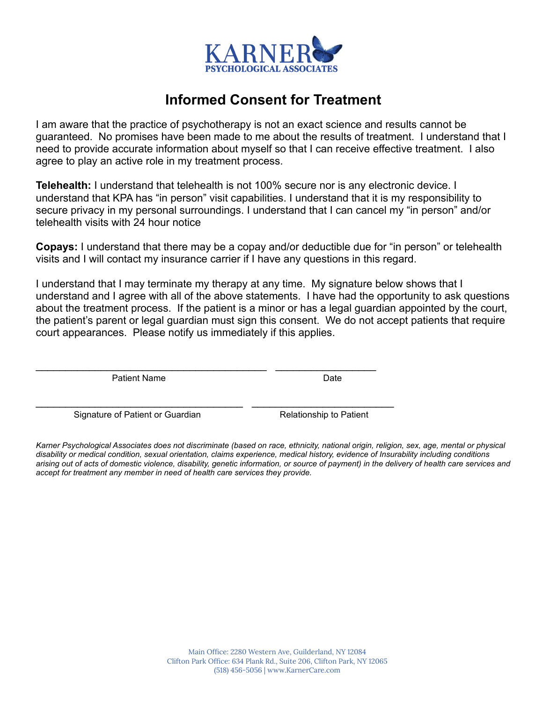

### **Informed Consent for Treatment**

I am aware that the practice of psychotherapy is not an exact science and results cannot be guaranteed. No promises have been made to me about the results of treatment. I understand that I need to provide accurate information about myself so that I can receive effective treatment. I also agree to play an active role in my treatment process.

**Telehealth:** I understand that telehealth is not 100% secure nor is any electronic device. I understand that KPA has "in person" visit capabilities. I understand that it is my responsibility to secure privacy in my personal surroundings. I understand that I can cancel my "in person" and/or telehealth visits with 24 hour notice

**Copays:** I understand that there may be a copay and/or deductible due for "in person" or telehealth visits and I will contact my insurance carrier if I have any questions in this regard.

I understand that I may terminate my therapy at any time. My signature below shows that I understand and I agree with all of the above statements. I have had the opportunity to ask questions about the treatment process. If the patient is a minor or has a legal guardian appointed by the court, the patient's parent or legal guardian must sign this consent. We do not accept patients that require court appearances. Please notify us immediately if this applies.

Patient Name Date

\_\_\_\_\_\_\_\_\_\_\_\_\_\_\_\_\_\_\_\_\_\_\_\_\_\_\_\_\_\_\_\_\_\_\_\_\_\_\_ \_\_\_\_\_\_\_\_\_\_\_\_\_\_\_\_\_

\_\_\_\_\_\_\_\_\_\_\_\_\_\_\_\_\_\_\_\_\_\_\_\_\_\_\_\_\_\_\_\_\_\_\_ \_\_\_\_\_\_\_\_\_\_\_\_\_\_\_\_\_\_\_\_\_\_\_\_

Signature of Patient or Guardian Relationship to Patient

*Karner Psychological Associates does not discriminate (based on race, ethnicity, national origin, religion, sex, age, mental or physical disability or medical condition, sexual orientation, claims experience, medical history, evidence of Insurability including conditions arising out of acts of domestic violence, disability, genetic information, or source of payment) in the delivery of health care services and accept for treatment any member in need of health care services they provide.*